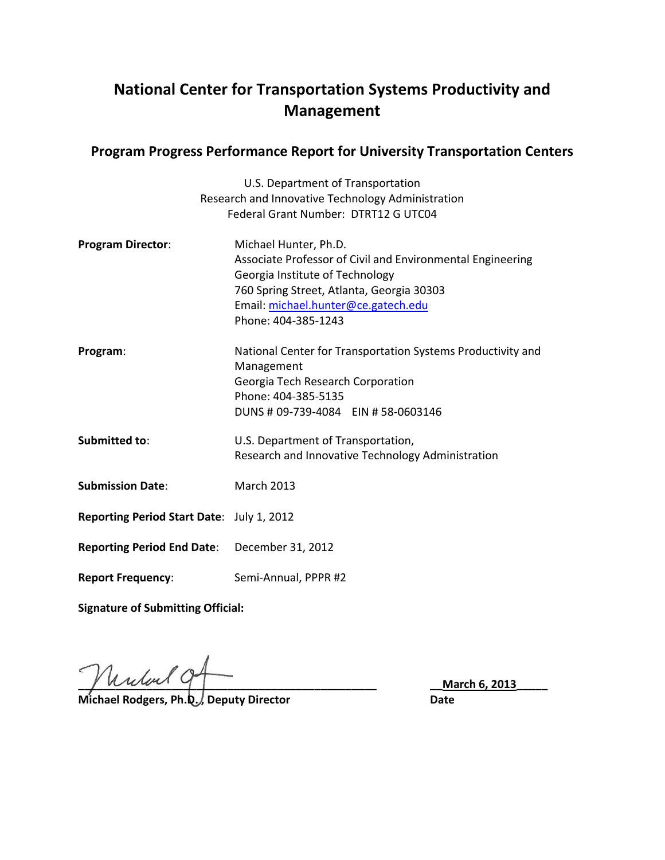# **National Center for Transportation Systems Productivity and Management**

## **Program Progress Performance Report for University Transportation Centers**

|                                                   | U.S. Department of Transportation                           |
|---------------------------------------------------|-------------------------------------------------------------|
| Research and Innovative Technology Administration |                                                             |
|                                                   | Federal Grant Number: DTRT12 G UTC04                        |
| <b>Program Director:</b>                          | Michael Hunter, Ph.D.                                       |
|                                                   | Associate Professor of Civil and Environmental Engineering  |
|                                                   | Georgia Institute of Technology                             |
|                                                   | 760 Spring Street, Atlanta, Georgia 30303                   |
|                                                   | Email: michael.hunter@ce.gatech.edu                         |
|                                                   | Phone: 404-385-1243                                         |
| Program:                                          | National Center for Transportation Systems Productivity and |
|                                                   | Management                                                  |
|                                                   | Georgia Tech Research Corporation<br>Phone: 404-385-5135    |
|                                                   | DUNS # 09-739-4084 EIN # 58-0603146                         |
|                                                   |                                                             |
| Submitted to:                                     | U.S. Department of Transportation,                          |
|                                                   | Research and Innovative Technology Administration           |
| <b>Submission Date:</b>                           | <b>March 2013</b>                                           |
|                                                   |                                                             |
| Reporting Period Start Date: July 1, 2012         |                                                             |
| <b>Reporting Period End Date:</b>                 | December 31, 2012                                           |
| <b>Report Frequency:</b>                          | Semi-Annual, PPPR #2                                        |
|                                                   |                                                             |

**Signature of Submitting Official:**

**\_\_\_\_\_\_\_\_\_\_\_\_\_\_\_\_\_\_\_\_\_\_\_\_\_\_\_\_\_\_\_\_\_\_\_\_\_\_\_\_\_\_\_\_\_\_\_\_ \_\_March 6, 2013\_\_\_\_\_**

**Michael Rodgers, Ph.D., Deputy Director Construction Construction Date**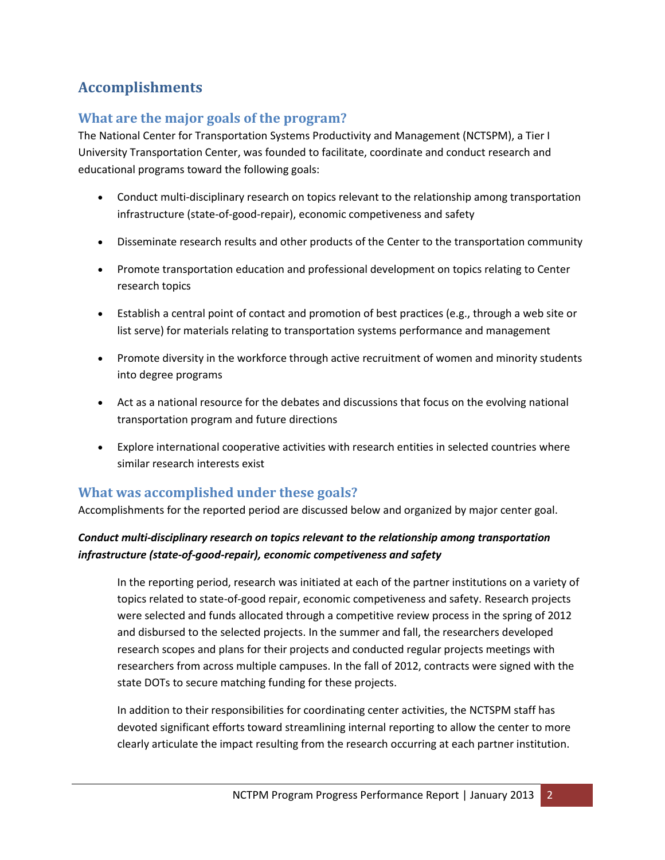# **Accomplishments**

# **What are the major goals of the program?**

The National Center for Transportation Systems Productivity and Management (NCTSPM), a Tier I University Transportation Center, was founded to facilitate, coordinate and conduct research and educational programs toward the following goals:

- Conduct multi-disciplinary research on topics relevant to the relationship among transportation infrastructure (state-of-good-repair), economic competiveness and safety
- Disseminate research results and other products of the Center to the transportation community
- Promote transportation education and professional development on topics relating to Center research topics
- Establish a central point of contact and promotion of best practices (e.g., through a web site or list serve) for materials relating to transportation systems performance and management
- Promote diversity in the workforce through active recruitment of women and minority students into degree programs
- Act as a national resource for the debates and discussions that focus on the evolving national transportation program and future directions
- Explore international cooperative activities with research entities in selected countries where similar research interests exist

## **What was accomplished under these goals?**

Accomplishments for the reported period are discussed below and organized by major center goal.

### *Conduct multi-disciplinary research on topics relevant to the relationship among transportation infrastructure (state-of-good-repair), economic competiveness and safety*

In the reporting period, research was initiated at each of the partner institutions on a variety of topics related to state-of-good repair, economic competiveness and safety. Research projects were selected and funds allocated through a competitive review process in the spring of 2012 and disbursed to the selected projects. In the summer and fall, the researchers developed research scopes and plans for their projects and conducted regular projects meetings with researchers from across multiple campuses. In the fall of 2012, contracts were signed with the state DOTs to secure matching funding for these projects.

In addition to their responsibilities for coordinating center activities, the NCTSPM staff has devoted significant efforts toward streamlining internal reporting to allow the center to more clearly articulate the impact resulting from the research occurring at each partner institution.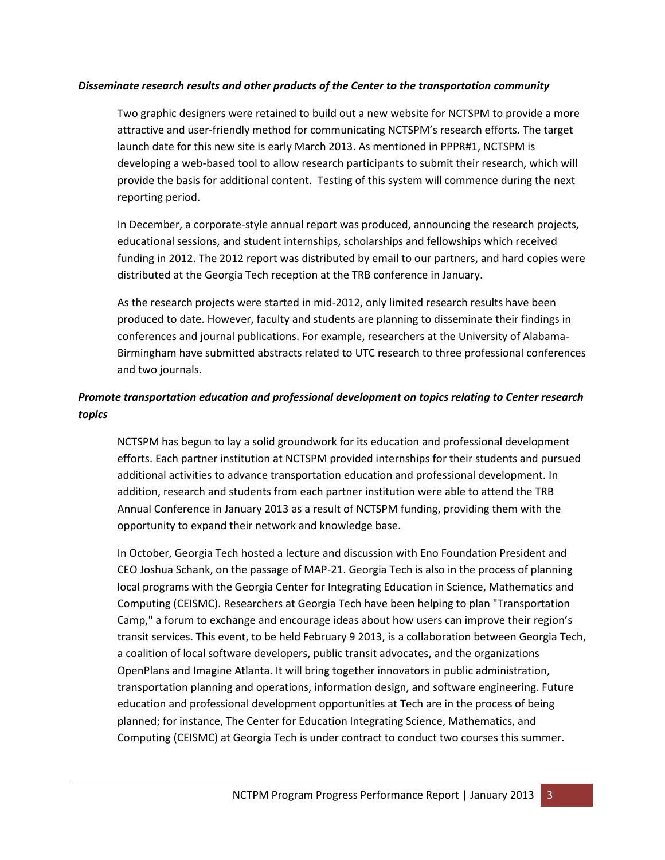#### *Disseminate research results and other products of the Center to the transportation community*

Two graphic designers were retained to build out a new website for NCTSPM to provide a more attractive and user-friendly method for communicating NCTSPM's research efforts. The target launch date for this new site is early March 2013. As mentioned in PPPR#1, NCTSPM is developing a web-based tool to allow research participants to submit their research, which will provide the basis for additional content. Testing of this system will commence during the next reporting period.

In December, a corporate-style annual report was produced, announcing the research projects, educational sessions, and student internships, scholarships and fellowships which received funding in 2012. The 2012 report was distributed by email to our partners, and hard copies were distributed at the Georgia Tech reception at the TRB conference in January.

As the research projects were started in mid-2012, only limited research results have been produced to date. However, faculty and students are planning to disseminate their findings in conferences and journal publications. For example, researchers at the University of Alabama-Birmingham have submitted abstracts related to UTC research to three professional conferences and two journals.

### *Promote transportation education and professional development on topics relating to Center research topics*

NCTSPM has begun to lay a solid groundwork for its education and professional development efforts. Each partner institution at NCTSPM provided internships for their students and pursued additional activities to advance transportation education and professional development. In addition, research and students from each partner institution were able to attend the TRB Annual Conference in January 2013 as a result of NCTSPM funding, providing them with the opportunity to expand their network and knowledge base.

In October, Georgia Tech hosted a lecture and discussion with Eno Foundation President and CEO Joshua Schank, on the passage of MAP-21. Georgia Tech is also in the process of planning local programs with the Georgia Center for Integrating Education in Science, Mathematics and Computing (CEISMC). Researchers at Georgia Tech have been helping to plan "Transportation Camp," a forum to exchange and encourage ideas about how users can improve their region's transit services. This event, to be held February 9 2013, is a collaboration between Georgia Tech, a coalition of local software developers, public transit advocates, and the organizations OpenPlans and Imagine Atlanta. It will bring together innovators in public administration, transportation planning and operations, information design, and software engineering. Future education and professional development opportunities at Tech are in the process of being planned; for instance, The Center for Education Integrating Science, Mathematics, and Computing (CEISMC) at Georgia Tech is under contract to conduct two courses this summer.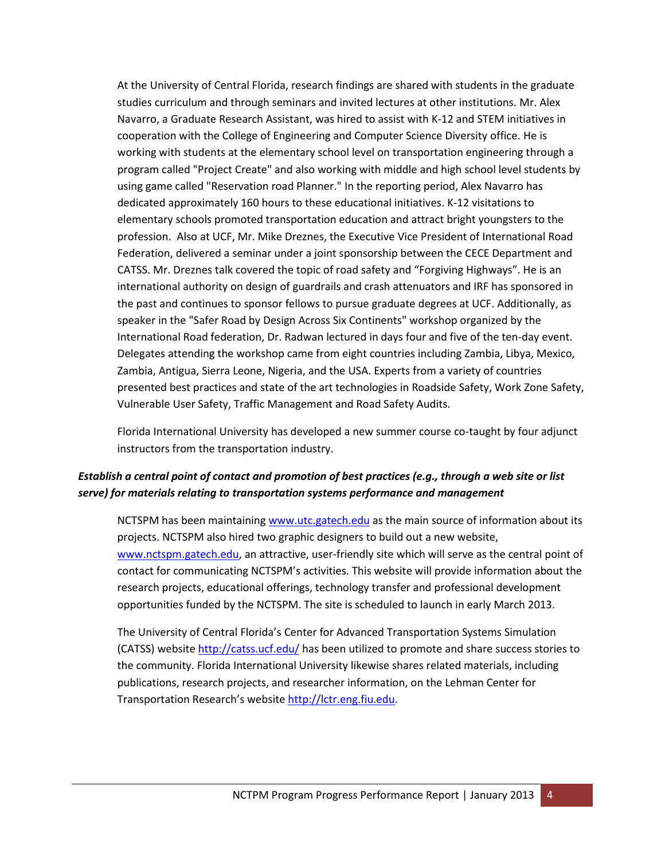At the University of Central Florida, research findings are shared with students in the graduate studies curriculum and through seminars and invited lectures at other institutions. Mr. Alex Navarro, a Graduate Research Assistant, was hired to assist with K-12 and STEM initiatives in cooperation with the College of Engineering and Computer Science Diversity office. He is working with students at the elementary school level on transportation engineering through a program called "Project Create" and also working with middle and high school level students by using game called "Reservation road Planner." In the reporting period, Alex Navarro has dedicated approximately 160 hours to these educational initiatives. K-12 visitations to elementary schools promoted transportation education and attract bright youngsters to the profession. Also at UCF, Mr. Mike Dreznes, the Executive Vice President of International Road Federation, delivered a seminar under a joint sponsorship between the CECE Department and CATSS. Mr. Dreznes talk covered the topic of road safety and "Forgiving Highways". He is an international authority on design of guardrails and crash attenuators and IRF has sponsored in the past and continues to sponsor fellows to pursue graduate degrees at UCF. Additionally, as speaker in the "Safer Road by Design Across Six Continents" workshop organized by the International Road federation, Dr. Radwan lectured in days four and five of the ten-day event. Delegates attending the workshop came from eight countries including Zambia, Libya, Mexico, Zambia, Antigua, Sierra Leone, Nigeria, and the USA. Experts from a variety of countries presented best practices and state of the art technologies in Roadside Safety, Work Zone Safety, Vulnerable User Safety, Traffic Management and Road Safety Audits.

Florida International University has developed a new summer course co-taught by four adjunct instructors from the transportation industry.

#### *Establish a central point of contact and promotion of best practices (e.g., through a web site or list serve) for materials relating to transportation systems performance and management*

NCTSPM has been maintaining [www.utc.gatech.edu](http://www.utc.gatech.edu/) as the main source of information about its projects. NCTSPM also hired two graphic designers to build out a new website, [www.nctspm.gatech.edu,](http://www.nctspm.gatech.edu/) an attractive, user-friendly site which will serve as the central point of contact for communicating NCTSPM's activities. This website will provide information about the research projects, educational offerings, technology transfer and professional development opportunities funded by the NCTSPM. The site is scheduled to launch in early March 2013.

The University of Central Florida's Center for Advanced Transportation Systems Simulation (CATSS) website <http://catss.ucf.edu/> has been utilized to promote and share success stories to the community. Florida International University likewise shares related materials, including publications, research projects, and researcher information, on the Lehman Center for Transportation Research's website [http://lctr.eng.fiu.edu.](http://lctr.eng.fiu.edu/)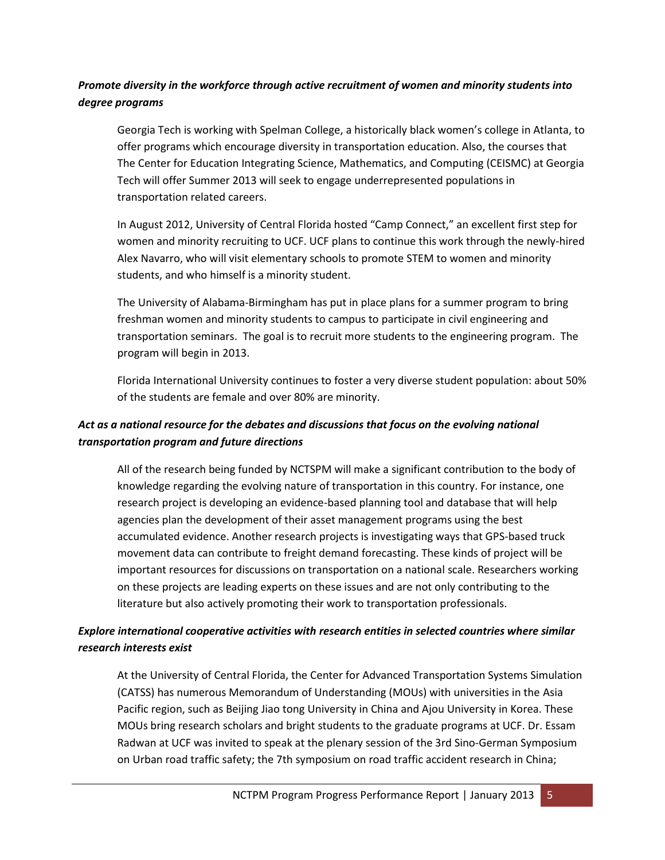### *Promote diversity in the workforce through active recruitment of women and minority students into degree programs*

Georgia Tech is working with Spelman College, a historically black women's college in Atlanta, to offer programs which encourage diversity in transportation education. Also, the courses that The Center for Education Integrating Science, Mathematics, and Computing (CEISMC) at Georgia Tech will offer Summer 2013 will seek to engage underrepresented populations in transportation related careers.

In August 2012, University of Central Florida hosted "Camp Connect," an excellent first step for women and minority recruiting to UCF. UCF plans to continue this work through the newly-hired Alex Navarro, who will visit elementary schools to promote STEM to women and minority students, and who himself is a minority student.

The University of Alabama-Birmingham has put in place plans for a summer program to bring freshman women and minority students to campus to participate in civil engineering and transportation seminars. The goal is to recruit more students to the engineering program. The program will begin in 2013.

Florida International University continues to foster a very diverse student population: about 50% of the students are female and over 80% are minority.

### *Act as a national resource for the debates and discussions that focus on the evolving national transportation program and future directions*

All of the research being funded by NCTSPM will make a significant contribution to the body of knowledge regarding the evolving nature of transportation in this country. For instance, one research project is developing an evidence-based planning tool and database that will help agencies plan the development of their asset management programs using the best accumulated evidence. Another research projects is investigating ways that GPS-based truck movement data can contribute to freight demand forecasting. These kinds of project will be important resources for discussions on transportation on a national scale. Researchers working on these projects are leading experts on these issues and are not only contributing to the literature but also actively promoting their work to transportation professionals.

### *Explore international cooperative activities with research entities in selected countries where similar research interests exist*

At the University of Central Florida, the Center for Advanced Transportation Systems Simulation (CATSS) has numerous Memorandum of Understanding (MOUs) with universities in the Asia Pacific region, such as Beijing Jiao tong University in China and Ajou University in Korea. These MOUs bring research scholars and bright students to the graduate programs at UCF. Dr. Essam Radwan at UCF was invited to speak at the plenary session of the 3rd Sino-German Symposium on Urban road traffic safety; the 7th symposium on road traffic accident research in China;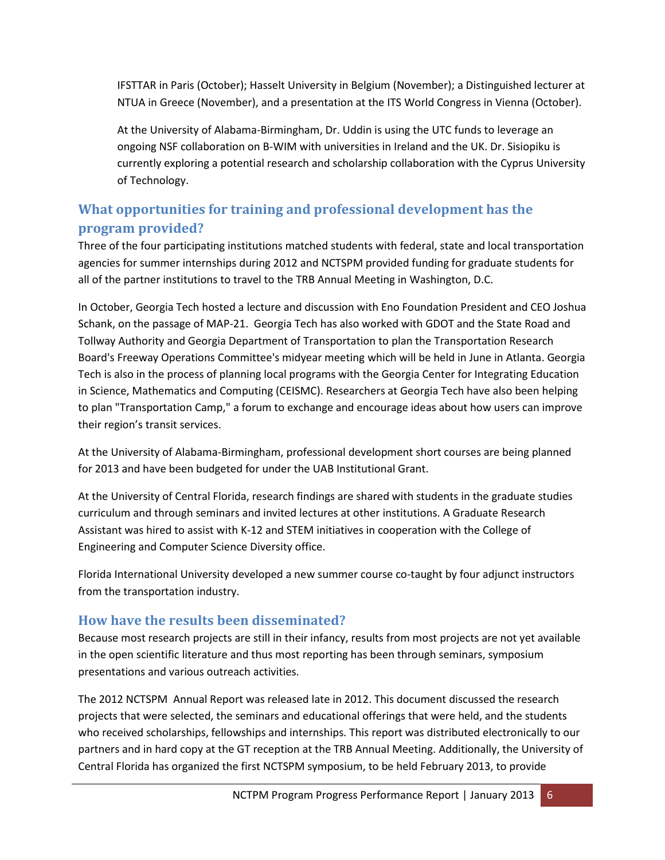IFSTTAR in Paris (October); Hasselt University in Belgium (November); a Distinguished lecturer at NTUA in Greece (November), and a presentation at the ITS World Congress in Vienna (October).

At the University of Alabama-Birmingham, Dr. Uddin is using the UTC funds to leverage an ongoing NSF collaboration on B-WIM with universities in Ireland and the UK. Dr. Sisiopiku is currently exploring a potential research and scholarship collaboration with the Cyprus University of Technology.

# **What opportunities for training and professional development has the program provided?**

Three of the four participating institutions matched students with federal, state and local transportation agencies for summer internships during 2012 and NCTSPM provided funding for graduate students for all of the partner institutions to travel to the TRB Annual Meeting in Washington, D.C.

In October, Georgia Tech hosted a lecture and discussion with Eno Foundation President and CEO Joshua Schank, on the passage of MAP-21. Georgia Tech has also worked with GDOT and the State Road and Tollway Authority and Georgia Department of Transportation to plan the Transportation Research Board's Freeway Operations Committee's midyear meeting which will be held in June in Atlanta. Georgia Tech is also in the process of planning local programs with the Georgia Center for Integrating Education in Science, Mathematics and Computing (CEISMC). Researchers at Georgia Tech have also been helping to plan "Transportation Camp," a forum to exchange and encourage ideas about how users can improve their region's transit services.

At the University of Alabama-Birmingham, professional development short courses are being planned for 2013 and have been budgeted for under the UAB Institutional Grant.

At the University of Central Florida, research findings are shared with students in the graduate studies curriculum and through seminars and invited lectures at other institutions. A Graduate Research Assistant was hired to assist with K-12 and STEM initiatives in cooperation with the College of Engineering and Computer Science Diversity office.

Florida International University developed a new summer course co-taught by four adjunct instructors from the transportation industry.

## **How have the results been disseminated?**

Because most research projects are still in their infancy, results from most projects are not yet available in the open scientific literature and thus most reporting has been through seminars, symposium presentations and various outreach activities.

The 2012 NCTSPM Annual Report was released late in 2012. This document discussed the research projects that were selected, the seminars and educational offerings that were held, and the students who received scholarships, fellowships and internships. This report was distributed electronically to our partners and in hard copy at the GT reception at the TRB Annual Meeting. Additionally, the University of Central Florida has organized the first NCTSPM symposium, to be held February 2013, to provide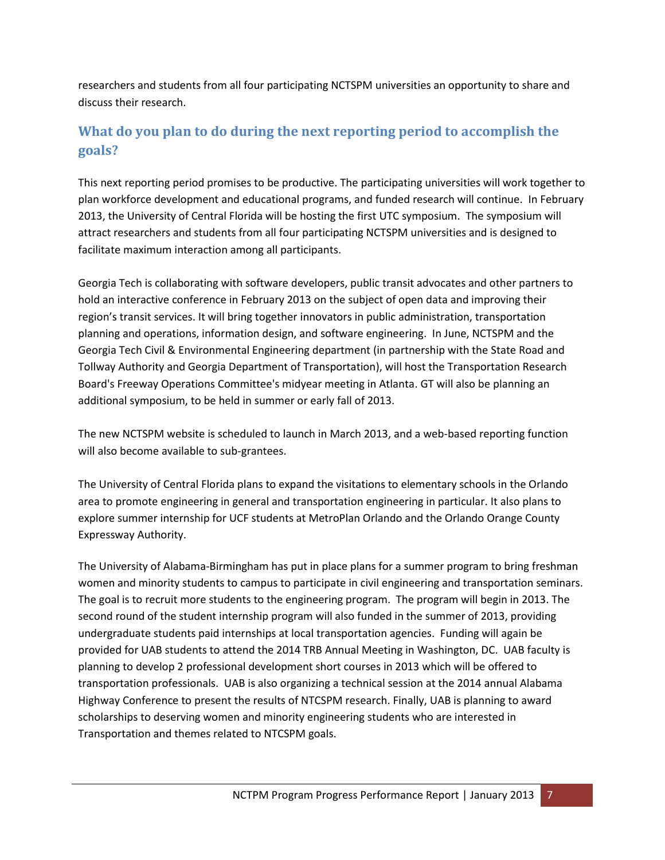researchers and students from all four participating NCTSPM universities an opportunity to share and discuss their research.

# **What do you plan to do during the next reporting period to accomplish the goals?**

This next reporting period promises to be productive. The participating universities will work together to plan workforce development and educational programs, and funded research will continue. In February 2013, the University of Central Florida will be hosting the first UTC symposium. The symposium will attract researchers and students from all four participating NCTSPM universities and is designed to facilitate maximum interaction among all participants.

Georgia Tech is collaborating with software developers, public transit advocates and other partners to hold an interactive conference in February 2013 on the subject of open data and improving their region's transit services. It will bring together innovators in public administration, transportation planning and operations, information design, and software engineering. In June, NCTSPM and the Georgia Tech Civil & Environmental Engineering department (in partnership with the State Road and Tollway Authority and Georgia Department of Transportation), will host the Transportation Research Board's Freeway Operations Committee's midyear meeting in Atlanta. GT will also be planning an additional symposium, to be held in summer or early fall of 2013.

The new NCTSPM website is scheduled to launch in March 2013, and a web-based reporting function will also become available to sub-grantees.

The University of Central Florida plans to expand the visitations to elementary schools in the Orlando area to promote engineering in general and transportation engineering in particular. It also plans to explore summer internship for UCF students at MetroPlan Orlando and the Orlando Orange County Expressway Authority.

The University of Alabama-Birmingham has put in place plans for a summer program to bring freshman women and minority students to campus to participate in civil engineering and transportation seminars. The goal is to recruit more students to the engineering program. The program will begin in 2013. The second round of the student internship program will also funded in the summer of 2013, providing undergraduate students paid internships at local transportation agencies. Funding will again be provided for UAB students to attend the 2014 TRB Annual Meeting in Washington, DC. UAB faculty is planning to develop 2 professional development short courses in 2013 which will be offered to transportation professionals. UAB is also organizing a technical session at the 2014 annual Alabama Highway Conference to present the results of NTCSPM research. Finally, UAB is planning to award scholarships to deserving women and minority engineering students who are interested in Transportation and themes related to NTCSPM goals.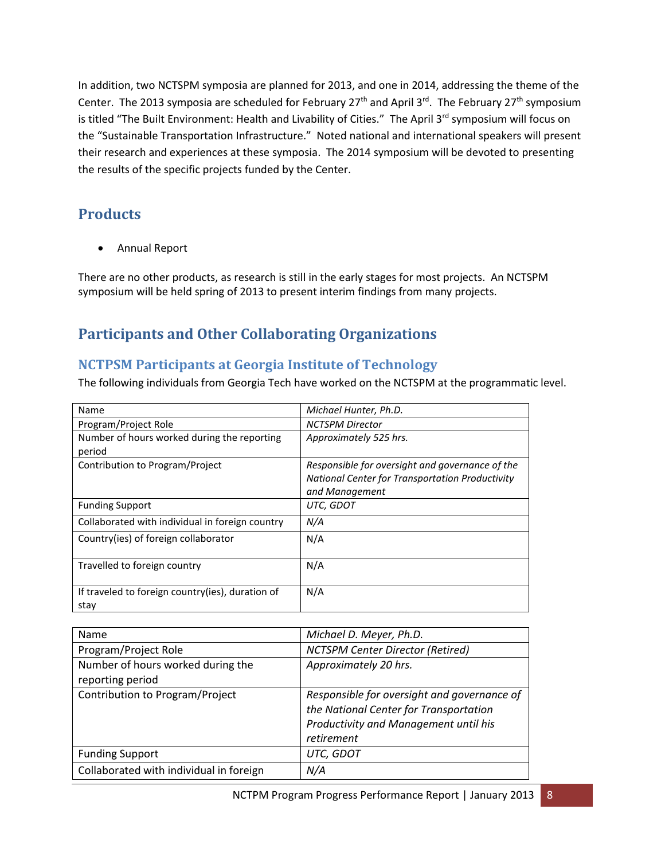In addition, two NCTSPM symposia are planned for 2013, and one in 2014, addressing the theme of the Center. The 2013 symposia are scheduled for February 27<sup>th</sup> and April 3<sup>rd</sup>. The February 27<sup>th</sup> symposium is titled "The Built Environment: Health and Livability of Cities." The April 3<sup>rd</sup> symposium will focus on the "Sustainable Transportation Infrastructure." Noted national and international speakers will present their research and experiences at these symposia. The 2014 symposium will be devoted to presenting the results of the specific projects funded by the Center.

# **Products**

Annual Report

There are no other products, as research is still in the early stages for most projects. An NCTSPM symposium will be held spring of 2013 to present interim findings from many projects.

# **Participants and Other Collaborating Organizations**

## **NCTPSM Participants at Georgia Institute of Technology**

The following individuals from Georgia Tech have worked on the NCTSPM at the programmatic level.

| Name                                             | Michael Hunter, Ph.D.                           |
|--------------------------------------------------|-------------------------------------------------|
| Program/Project Role                             | <b>NCTSPM Director</b>                          |
| Number of hours worked during the reporting      | Approximately 525 hrs.                          |
| period                                           |                                                 |
| Contribution to Program/Project                  | Responsible for oversight and governance of the |
|                                                  | National Center for Transportation Productivity |
|                                                  | and Management                                  |
| <b>Funding Support</b>                           | UTC, GDOT                                       |
| Collaborated with individual in foreign country  | N/A                                             |
| Country(ies) of foreign collaborator             | N/A                                             |
|                                                  |                                                 |
| Travelled to foreign country                     | N/A                                             |
|                                                  |                                                 |
| If traveled to foreign country(ies), duration of | N/A                                             |
| stay                                             |                                                 |

| Michael D. Meyer, Ph.D.                     |
|---------------------------------------------|
| <b>NCTSPM Center Director (Retired)</b>     |
| Approximately 20 hrs.                       |
|                                             |
| Responsible for oversight and governance of |
| the National Center for Transportation      |
| Productivity and Management until his       |
| retirement                                  |
| UTC, GDOT                                   |
| N/A                                         |
|                                             |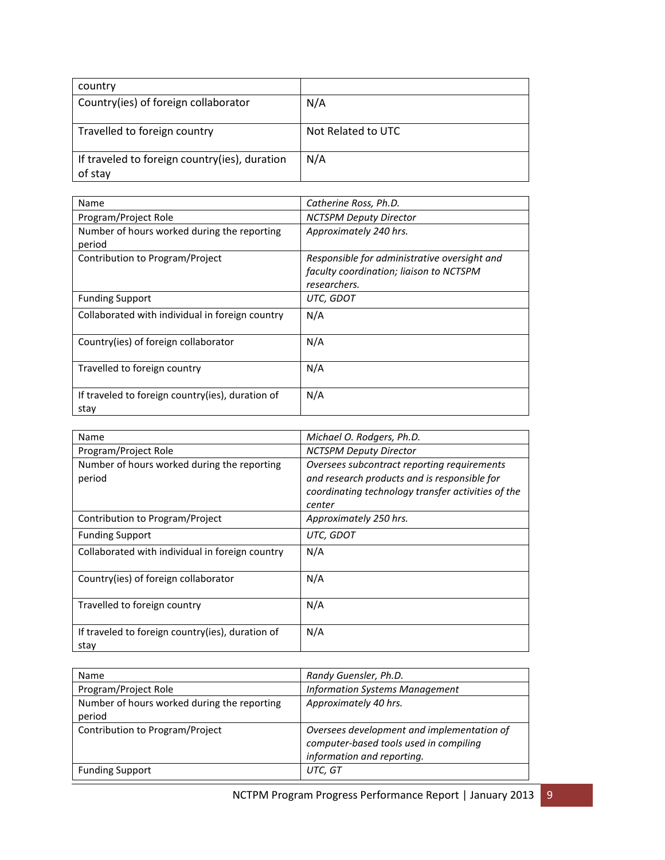| country                                       |                    |
|-----------------------------------------------|--------------------|
| Country(ies) of foreign collaborator          | N/A                |
|                                               |                    |
| Travelled to foreign country                  | Not Related to UTC |
| If traveled to foreign country(ies), duration | N/A                |
| of stay                                       |                    |

| Name                                                     | Catherine Ross, Ph.D.                                                                                   |
|----------------------------------------------------------|---------------------------------------------------------------------------------------------------------|
| Program/Project Role                                     | <b>NCTSPM Deputy Director</b>                                                                           |
| Number of hours worked during the reporting<br>period    | Approximately 240 hrs.                                                                                  |
| Contribution to Program/Project                          | Responsible for administrative oversight and<br>faculty coordination; liaison to NCTSPM<br>researchers. |
| <b>Funding Support</b>                                   | UTC, GDOT                                                                                               |
| Collaborated with individual in foreign country          | N/A                                                                                                     |
| Country(ies) of foreign collaborator                     | N/A                                                                                                     |
| Travelled to foreign country                             | N/A                                                                                                     |
| If traveled to foreign country(ies), duration of<br>stay | N/A                                                                                                     |

| Name                                                     | Michael O. Rodgers, Ph.D.                                                                                                                                   |
|----------------------------------------------------------|-------------------------------------------------------------------------------------------------------------------------------------------------------------|
| Program/Project Role                                     | NCTSPM Deputy Director                                                                                                                                      |
| Number of hours worked during the reporting<br>period    | Oversees subcontract reporting requirements<br>and research products and is responsible for<br>coordinating technology transfer activities of the<br>center |
| Contribution to Program/Project                          | Approximately 250 hrs.                                                                                                                                      |
| <b>Funding Support</b>                                   | UTC, GDOT                                                                                                                                                   |
| Collaborated with individual in foreign country          | N/A                                                                                                                                                         |
| Country(ies) of foreign collaborator                     | N/A                                                                                                                                                         |
| Travelled to foreign country                             | N/A                                                                                                                                                         |
| If traveled to foreign country(ies), duration of<br>stay | N/A                                                                                                                                                         |

| Name                                        | Randy Guensler, Ph.D.                      |
|---------------------------------------------|--------------------------------------------|
| Program/Project Role                        | <b>Information Systems Management</b>      |
| Number of hours worked during the reporting | Approximately 40 hrs.                      |
| period                                      |                                            |
| Contribution to Program/Project             | Oversees development and implementation of |
|                                             | computer-based tools used in compiling     |
|                                             | information and reporting.                 |
| <b>Funding Support</b>                      | UTC, GT                                    |
|                                             |                                            |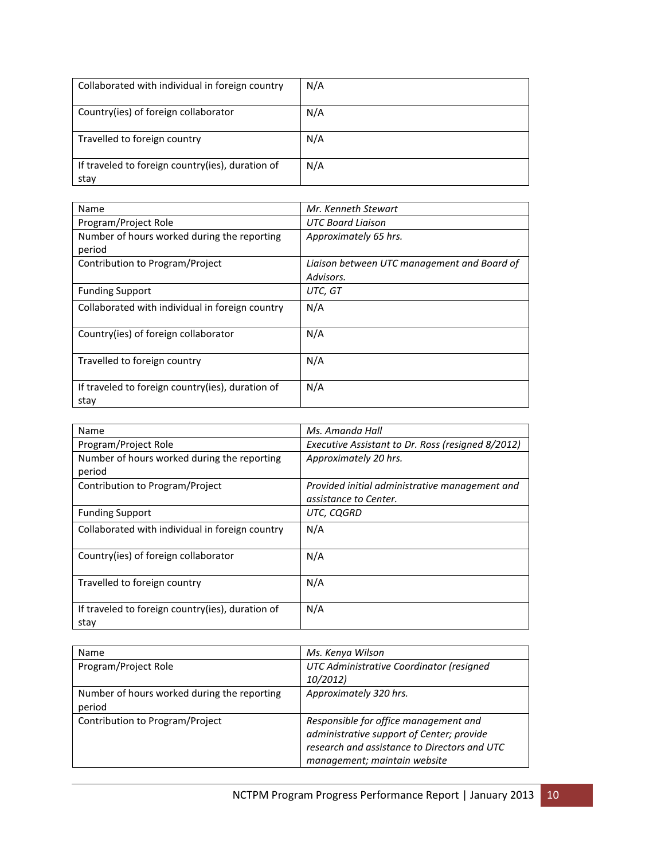| Collaborated with individual in foreign country          | N/A |
|----------------------------------------------------------|-----|
| Country(ies) of foreign collaborator                     | N/A |
| Travelled to foreign country                             | N/A |
| If traveled to foreign country(ies), duration of<br>stay | N/A |

| Name                                                     | Mr. Kenneth Stewart                         |
|----------------------------------------------------------|---------------------------------------------|
| Program/Project Role                                     | <b>UTC Board Liaison</b>                    |
| Number of hours worked during the reporting              | Approximately 65 hrs.                       |
| period                                                   |                                             |
| Contribution to Program/Project                          | Liaison between UTC management and Board of |
|                                                          | Advisors.                                   |
| <b>Funding Support</b>                                   | UTC, GT                                     |
| Collaborated with individual in foreign country          | N/A                                         |
| Country(ies) of foreign collaborator                     | N/A                                         |
| Travelled to foreign country                             | N/A                                         |
| If traveled to foreign country(ies), duration of<br>stav | N/A                                         |

| Name                                             | Ms. Amanda Hall                                   |
|--------------------------------------------------|---------------------------------------------------|
| Program/Project Role                             | Executive Assistant to Dr. Ross (resigned 8/2012) |
| Number of hours worked during the reporting      | Approximately 20 hrs.                             |
| period                                           |                                                   |
| Contribution to Program/Project                  | Provided initial administrative management and    |
|                                                  | assistance to Center.                             |
| <b>Funding Support</b>                           | UTC, CQGRD                                        |
| Collaborated with individual in foreign country  | N/A                                               |
|                                                  |                                                   |
| Country(ies) of foreign collaborator             | N/A                                               |
|                                                  |                                                   |
| Travelled to foreign country                     | N/A                                               |
|                                                  |                                                   |
| If traveled to foreign country(ies), duration of | N/A                                               |
| stay                                             |                                                   |

| Name                                                  | Ms. Kenya Wilson                                                                                                                                                   |
|-------------------------------------------------------|--------------------------------------------------------------------------------------------------------------------------------------------------------------------|
| Program/Project Role                                  | UTC Administrative Coordinator (resigned<br>10/2012                                                                                                                |
| Number of hours worked during the reporting<br>period | Approximately 320 hrs.                                                                                                                                             |
| Contribution to Program/Project                       | Responsible for office management and<br>administrative support of Center; provide<br>research and assistance to Directors and UTC<br>management; maintain website |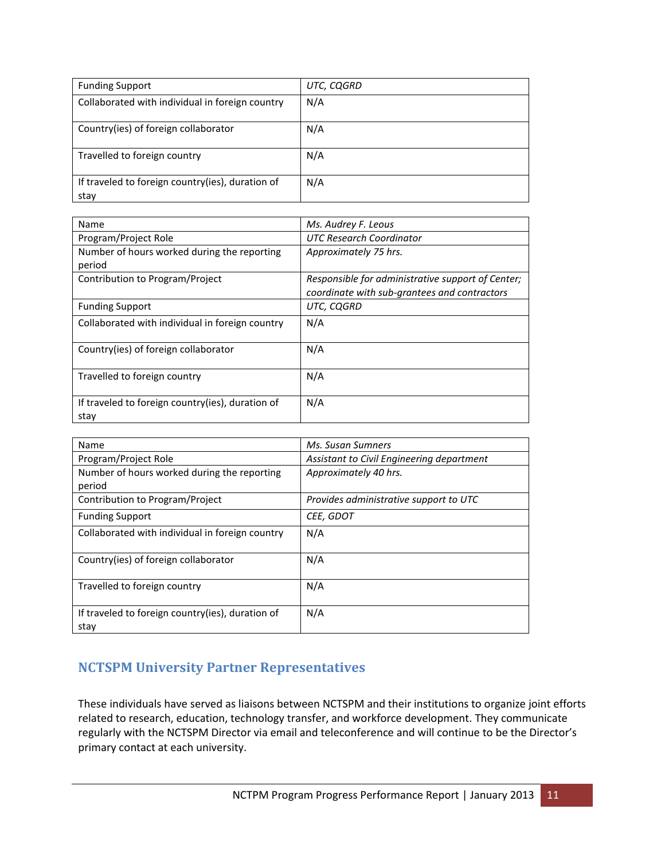| <b>Funding Support</b>                                   | UTC, CQGRD |
|----------------------------------------------------------|------------|
| Collaborated with individual in foreign country          | N/A        |
| Country(ies) of foreign collaborator                     | N/A        |
| Travelled to foreign country                             | N/A        |
| If traveled to foreign country(ies), duration of<br>stay | N/A        |

| Name                                                     | Ms. Audrey F. Leous                                                                               |  |
|----------------------------------------------------------|---------------------------------------------------------------------------------------------------|--|
| Program/Project Role                                     | UTC Research Coordinator                                                                          |  |
| Number of hours worked during the reporting              | Approximately 75 hrs.                                                                             |  |
| period                                                   |                                                                                                   |  |
| Contribution to Program/Project                          | Responsible for administrative support of Center;<br>coordinate with sub-grantees and contractors |  |
|                                                          |                                                                                                   |  |
| <b>Funding Support</b>                                   | UTC, CQGRD                                                                                        |  |
| Collaborated with individual in foreign country          | N/A                                                                                               |  |
| Country(ies) of foreign collaborator                     | N/A                                                                                               |  |
| Travelled to foreign country                             | N/A                                                                                               |  |
| If traveled to foreign country(ies), duration of<br>stay | N/A                                                                                               |  |

| Name                                                     | Ms. Susan Sumners                         |  |  |
|----------------------------------------------------------|-------------------------------------------|--|--|
| Program/Project Role                                     | Assistant to Civil Engineering department |  |  |
| Number of hours worked during the reporting              | Approximately 40 hrs.                     |  |  |
| period                                                   |                                           |  |  |
| Contribution to Program/Project                          | Provides administrative support to UTC    |  |  |
| <b>Funding Support</b>                                   | CEE, GDOT                                 |  |  |
| Collaborated with individual in foreign country          | N/A                                       |  |  |
| Country(ies) of foreign collaborator                     | N/A                                       |  |  |
| Travelled to foreign country                             | N/A                                       |  |  |
| If traveled to foreign country(ies), duration of<br>stay | N/A                                       |  |  |

## **NCTSPM University Partner Representatives**

These individuals have served as liaisons between NCTSPM and their institutions to organize joint efforts related to research, education, technology transfer, and workforce development. They communicate regularly with the NCTSPM Director via email and teleconference and will continue to be the Director's primary contact at each university.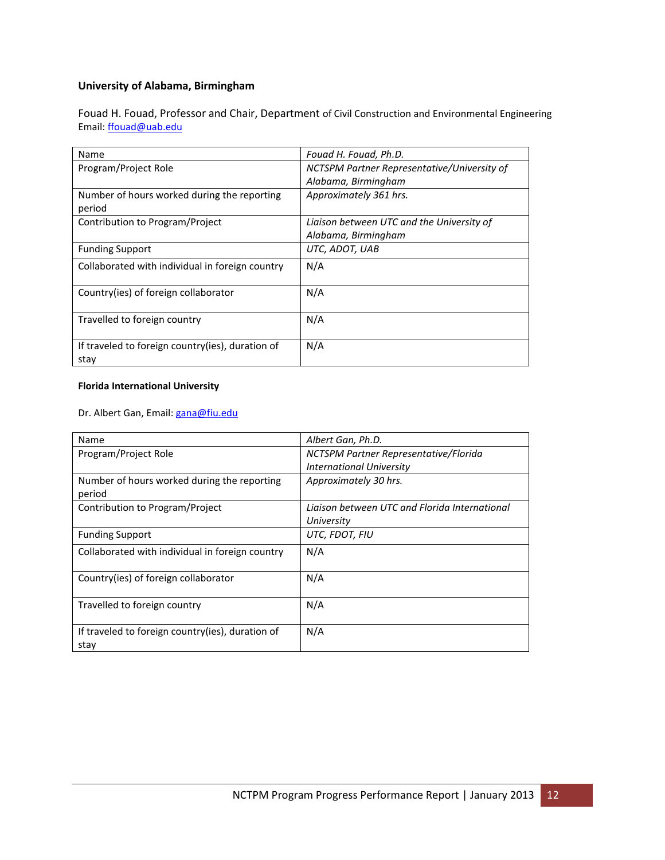### **University of Alabama, Birmingham**

Fouad H. Fouad, Professor and Chair, Department of Civil Construction and Environmental Engineering Email: [ffouad@uab.edu](mailto:ffouad@uab.edu)

| Name                                                     | Fouad H. Fouad, Ph.D.                       |  |
|----------------------------------------------------------|---------------------------------------------|--|
| Program/Project Role                                     | NCTSPM Partner Representative/University of |  |
|                                                          | Alabama, Birmingham                         |  |
| Number of hours worked during the reporting              | Approximately 361 hrs.                      |  |
| period                                                   |                                             |  |
| Contribution to Program/Project                          | Liaison between UTC and the University of   |  |
|                                                          | Alabama, Birmingham                         |  |
| <b>Funding Support</b>                                   | UTC, ADOT, UAB                              |  |
| Collaborated with individual in foreign country          | N/A                                         |  |
| Country(ies) of foreign collaborator                     | N/A                                         |  |
| Travelled to foreign country                             | N/A                                         |  |
| If traveled to foreign country(ies), duration of<br>stay | N/A                                         |  |

#### **Florida International University**

Dr. Albert Gan, Email: [gana@fiu.edu](mailto:gana@fiu.edu)

| Name                                                     | Albert Gan, Ph.D.                             |  |
|----------------------------------------------------------|-----------------------------------------------|--|
| Program/Project Role                                     | NCTSPM Partner Representative/Florida         |  |
|                                                          | <b>International University</b>               |  |
| Number of hours worked during the reporting              | Approximately 30 hrs.                         |  |
| period                                                   |                                               |  |
| Contribution to Program/Project                          | Ligison between UTC and Florida International |  |
|                                                          | University                                    |  |
| <b>Funding Support</b>                                   | UTC, FDOT, FIU                                |  |
| Collaborated with individual in foreign country          | N/A                                           |  |
| Country(ies) of foreign collaborator                     | N/A                                           |  |
| Travelled to foreign country                             | N/A                                           |  |
| If traveled to foreign country(ies), duration of<br>stay | N/A                                           |  |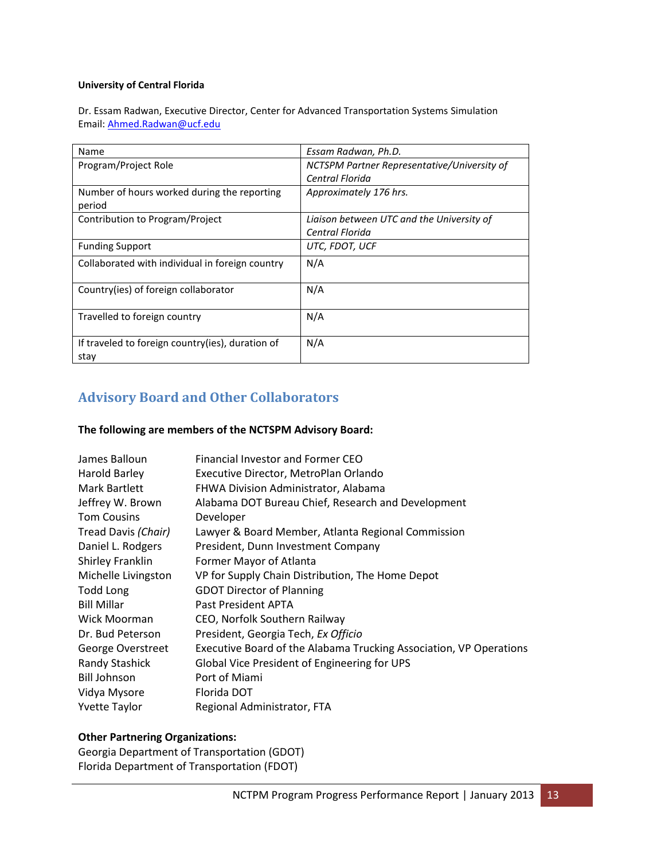#### **University of Central Florida**

Dr. Essam Radwan, Executive Director, Center for Advanced Transportation Systems Simulation Email: [Ahmed.Radwan@ucf.edu](mailto:Ahmed.Radwan@ucf.edu)

| Name                                                     | Essam Radwan, Ph.D.                         |  |
|----------------------------------------------------------|---------------------------------------------|--|
| Program/Project Role                                     | NCTSPM Partner Representative/University of |  |
|                                                          | Central Florida                             |  |
| Number of hours worked during the reporting              | Approximately 176 hrs.                      |  |
| period                                                   |                                             |  |
| Contribution to Program/Project                          | Liaison between UTC and the University of   |  |
|                                                          | Central Florida                             |  |
| <b>Funding Support</b>                                   | UTC, FDOT, UCF                              |  |
| Collaborated with individual in foreign country          | N/A                                         |  |
| Country(ies) of foreign collaborator                     | N/A                                         |  |
| Travelled to foreign country                             | N/A                                         |  |
| If traveled to foreign country(ies), duration of<br>stay | N/A                                         |  |

## **Advisory Board and Other Collaborators**

#### **The following are members of the NCTSPM Advisory Board:**

| James Balloun         | Financial Investor and Former CEO                                  |
|-----------------------|--------------------------------------------------------------------|
| Harold Barley         | Executive Director, MetroPlan Orlando                              |
| Mark Bartlett         | FHWA Division Administrator, Alabama                               |
| Jeffrey W. Brown      | Alabama DOT Bureau Chief, Research and Development                 |
| <b>Tom Cousins</b>    | Developer                                                          |
| Tread Davis (Chair)   | Lawyer & Board Member, Atlanta Regional Commission                 |
| Daniel L. Rodgers     | President, Dunn Investment Company                                 |
| Shirley Franklin      | Former Mayor of Atlanta                                            |
| Michelle Livingston   | VP for Supply Chain Distribution, The Home Depot                   |
| Todd Long             | <b>GDOT Director of Planning</b>                                   |
| <b>Bill Millar</b>    | Past President APTA                                                |
| Wick Moorman          | CEO, Norfolk Southern Railway                                      |
| Dr. Bud Peterson      | President, Georgia Tech, Ex Officio                                |
| George Overstreet     | Executive Board of the Alabama Trucking Association, VP Operations |
| <b>Randy Stashick</b> | Global Vice President of Engineering for UPS                       |
| Bill Johnson          | Port of Miami                                                      |
| Vidya Mysore          | Florida DOT                                                        |
| <b>Yvette Taylor</b>  | Regional Administrator, FTA                                        |

#### **Other Partnering Organizations:**

Georgia Department of Transportation (GDOT) Florida Department of Transportation (FDOT)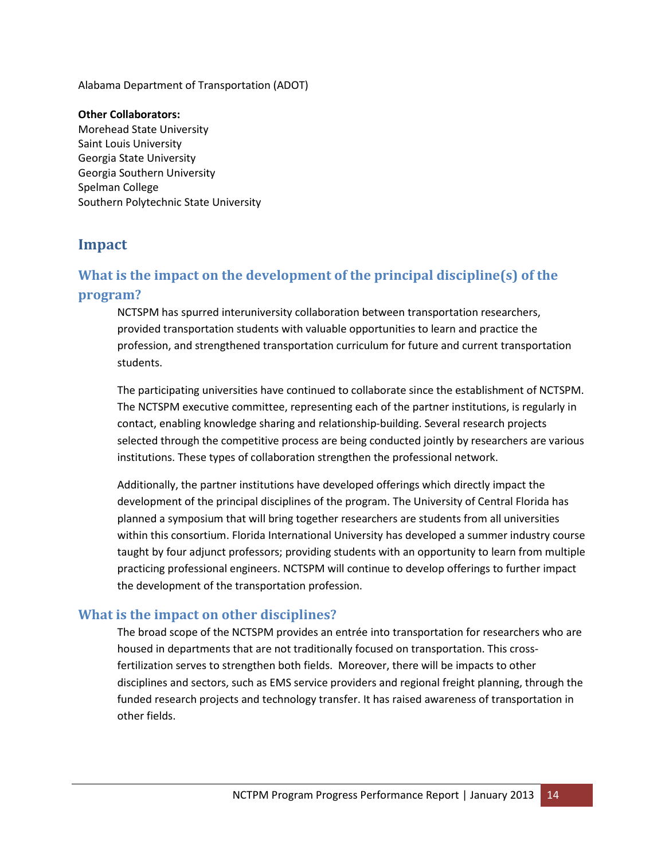Alabama Department of Transportation (ADOT)

#### **Other Collaborators:**

Morehead State University Saint Louis University Georgia State University Georgia Southern University Spelman College Southern Polytechnic State University

## **Impact**

# **What is the impact on the development of the principal discipline(s) of the program?**

NCTSPM has spurred interuniversity collaboration between transportation researchers, provided transportation students with valuable opportunities to learn and practice the profession, and strengthened transportation curriculum for future and current transportation students.

The participating universities have continued to collaborate since the establishment of NCTSPM. The NCTSPM executive committee, representing each of the partner institutions, is regularly in contact, enabling knowledge sharing and relationship-building. Several research projects selected through the competitive process are being conducted jointly by researchers are various institutions. These types of collaboration strengthen the professional network.

Additionally, the partner institutions have developed offerings which directly impact the development of the principal disciplines of the program. The University of Central Florida has planned a symposium that will bring together researchers are students from all universities within this consortium. Florida International University has developed a summer industry course taught by four adjunct professors; providing students with an opportunity to learn from multiple practicing professional engineers. NCTSPM will continue to develop offerings to further impact the development of the transportation profession.

## **What is the impact on other disciplines?**

The broad scope of the NCTSPM provides an entrée into transportation for researchers who are housed in departments that are not traditionally focused on transportation. This crossfertilization serves to strengthen both fields. Moreover, there will be impacts to other disciplines and sectors, such as EMS service providers and regional freight planning, through the funded research projects and technology transfer. It has raised awareness of transportation in other fields.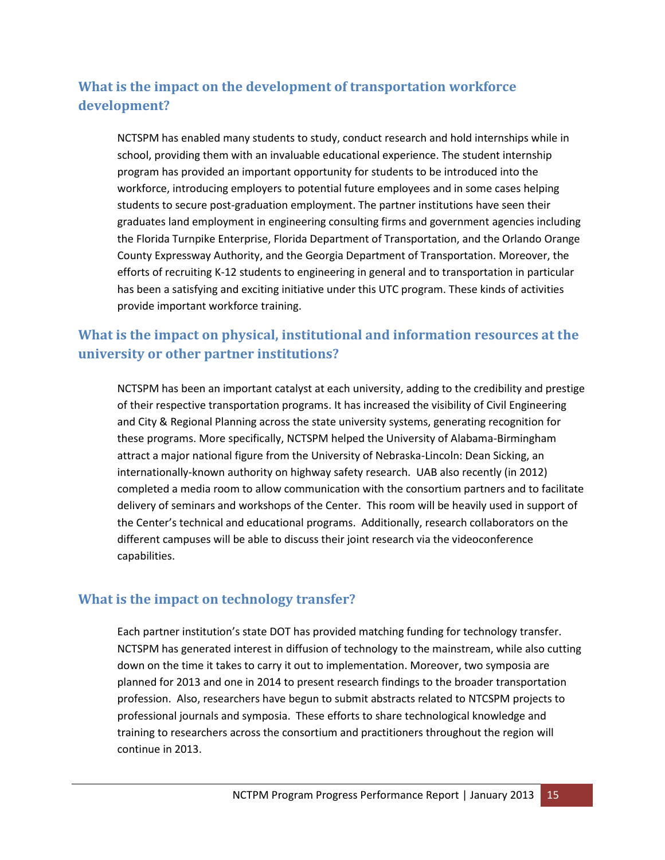# **What is the impact on the development of transportation workforce development?**

NCTSPM has enabled many students to study, conduct research and hold internships while in school, providing them with an invaluable educational experience. The student internship program has provided an important opportunity for students to be introduced into the workforce, introducing employers to potential future employees and in some cases helping students to secure post-graduation employment. The partner institutions have seen their graduates land employment in engineering consulting firms and government agencies including the Florida Turnpike Enterprise, Florida Department of Transportation, and the Orlando Orange County Expressway Authority, and the Georgia Department of Transportation. Moreover, the efforts of recruiting K-12 students to engineering in general and to transportation in particular has been a satisfying and exciting initiative under this UTC program. These kinds of activities provide important workforce training.

## **What is the impact on physical, institutional and information resources at the university or other partner institutions?**

NCTSPM has been an important catalyst at each university, adding to the credibility and prestige of their respective transportation programs. It has increased the visibility of Civil Engineering and City & Regional Planning across the state university systems, generating recognition for these programs. More specifically, NCTSPM helped the University of Alabama-Birmingham attract a major national figure from the University of Nebraska-Lincoln: Dean Sicking, an internationally-known authority on highway safety research. UAB also recently (in 2012) completed a media room to allow communication with the consortium partners and to facilitate delivery of seminars and workshops of the Center. This room will be heavily used in support of the Center's technical and educational programs. Additionally, research collaborators on the different campuses will be able to discuss their joint research via the videoconference capabilities.

### **What is the impact on technology transfer?**

Each partner institution's state DOT has provided matching funding for technology transfer. NCTSPM has generated interest in diffusion of technology to the mainstream, while also cutting down on the time it takes to carry it out to implementation. Moreover, two symposia are planned for 2013 and one in 2014 to present research findings to the broader transportation profession. Also, researchers have begun to submit abstracts related to NTCSPM projects to professional journals and symposia. These efforts to share technological knowledge and training to researchers across the consortium and practitioners throughout the region will continue in 2013.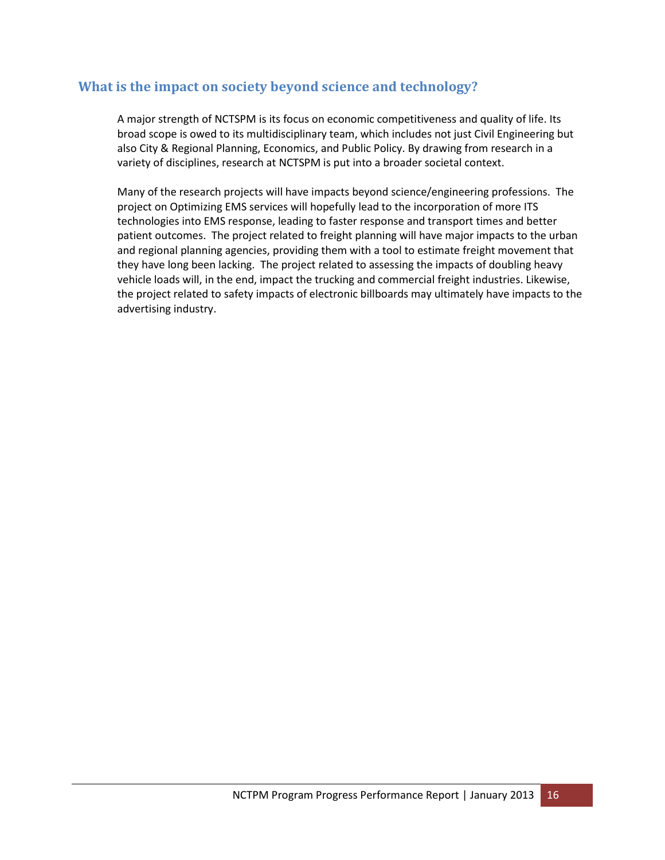## **What is the impact on society beyond science and technology?**

A major strength of NCTSPM is its focus on economic competitiveness and quality of life. Its broad scope is owed to its multidisciplinary team, which includes not just Civil Engineering but also City & Regional Planning, Economics, and Public Policy. By drawing from research in a variety of disciplines, research at NCTSPM is put into a broader societal context.

Many of the research projects will have impacts beyond science/engineering professions. The project on Optimizing EMS services will hopefully lead to the incorporation of more ITS technologies into EMS response, leading to faster response and transport times and better patient outcomes. The project related to freight planning will have major impacts to the urban and regional planning agencies, providing them with a tool to estimate freight movement that they have long been lacking. The project related to assessing the impacts of doubling heavy vehicle loads will, in the end, impact the trucking and commercial freight industries. Likewise, the project related to safety impacts of electronic billboards may ultimately have impacts to the advertising industry.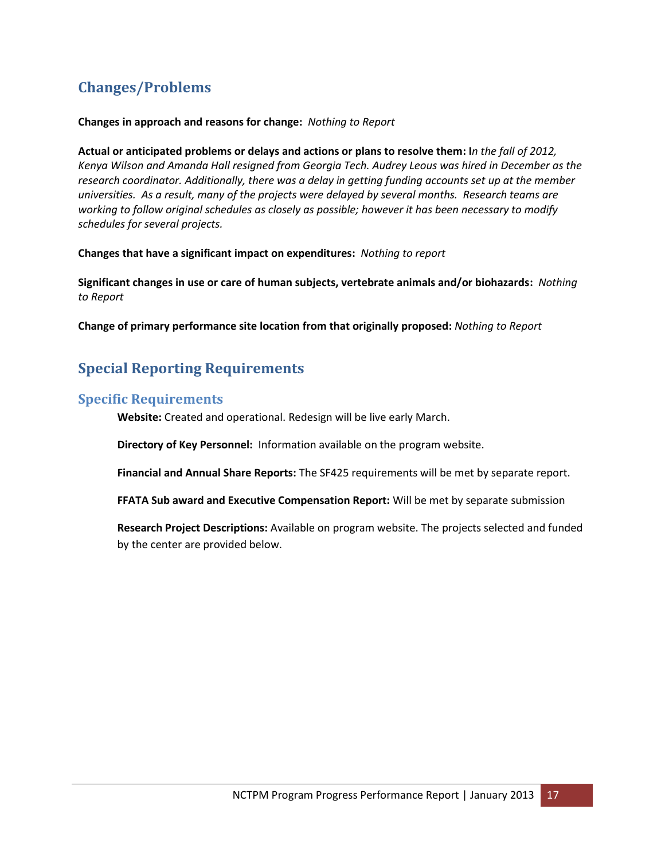# **Changes/Problems**

#### **Changes in approach and reasons for change:** *Nothing to Report*

**Actual or anticipated problems or delays and actions or plans to resolve them: I***n the fall of 2012, Kenya Wilson and Amanda Hall resigned from Georgia Tech. Audrey Leous was hired in December as the research coordinator. Additionally, there was a delay in getting funding accounts set up at the member universities. As a result, many of the projects were delayed by several months. Research teams are working to follow original schedules as closely as possible; however it has been necessary to modify schedules for several projects.*

**Changes that have a significant impact on expenditures:** *Nothing to report*

**Significant changes in use or care of human subjects, vertebrate animals and/or biohazards:** *Nothing to Report*

**Change of primary performance site location from that originally proposed:** *Nothing to Report*

# **Special Reporting Requirements**

### **Specific Requirements**

**Website:** Created and operational. Redesign will be live early March.

**Directory of Key Personnel:** Information available on the program website.

**Financial and Annual Share Reports:** The SF425 requirements will be met by separate report.

**FFATA Sub award and Executive Compensation Report:** Will be met by separate submission

**Research Project Descriptions:** Available on program website. The projects selected and funded by the center are provided below.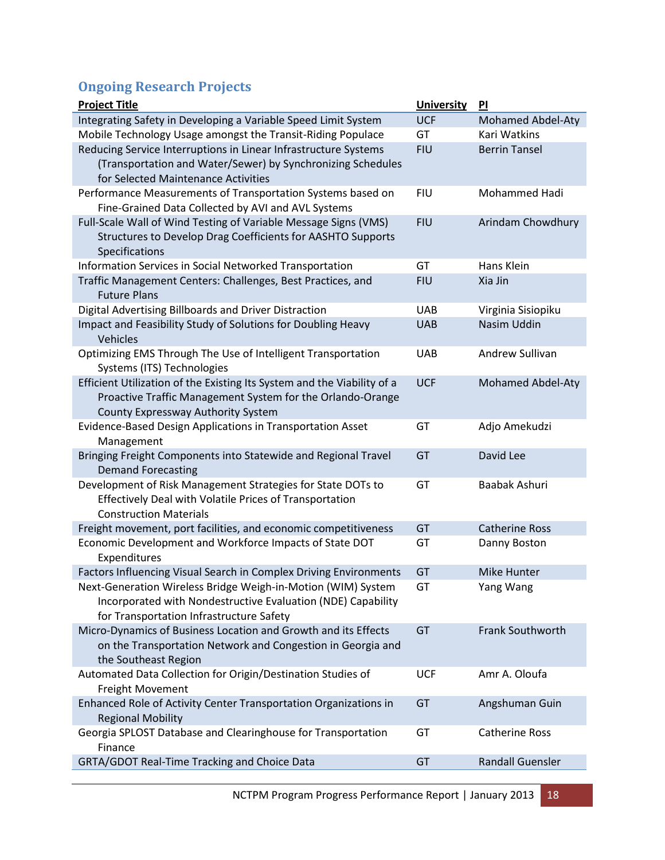# **Ongoing Research Projects**

| <b>Project Title</b>                                                                                       | <b>University</b> | PI                       |
|------------------------------------------------------------------------------------------------------------|-------------------|--------------------------|
| Integrating Safety in Developing a Variable Speed Limit System                                             | <b>UCF</b>        | <b>Mohamed Abdel-Aty</b> |
| Mobile Technology Usage amongst the Transit-Riding Populace                                                | GT                | Kari Watkins             |
| Reducing Service Interruptions in Linear Infrastructure Systems                                            | <b>FIU</b>        | <b>Berrin Tansel</b>     |
| (Transportation and Water/Sewer) by Synchronizing Schedules                                                |                   |                          |
| for Selected Maintenance Activities                                                                        |                   |                          |
| Performance Measurements of Transportation Systems based on                                                | <b>FIU</b>        | Mohammed Hadi            |
| Fine-Grained Data Collected by AVI and AVL Systems                                                         |                   |                          |
| Full-Scale Wall of Wind Testing of Variable Message Signs (VMS)                                            | <b>FIU</b>        | Arindam Chowdhury        |
| Structures to Develop Drag Coefficients for AASHTO Supports                                                |                   |                          |
| Specifications                                                                                             |                   |                          |
| Information Services in Social Networked Transportation                                                    | GT                | Hans Klein               |
| Traffic Management Centers: Challenges, Best Practices, and<br><b>Future Plans</b>                         | <b>FIU</b>        | Xia Jin                  |
| Digital Advertising Billboards and Driver Distraction                                                      | <b>UAB</b>        | Virginia Sisiopiku       |
| Impact and Feasibility Study of Solutions for Doubling Heavy                                               | <b>UAB</b>        | Nasim Uddin              |
| Vehicles                                                                                                   |                   |                          |
| Optimizing EMS Through The Use of Intelligent Transportation                                               | <b>UAB</b>        | Andrew Sullivan          |
| Systems (ITS) Technologies                                                                                 |                   |                          |
| Efficient Utilization of the Existing Its System and the Viability of a                                    | <b>UCF</b>        | <b>Mohamed Abdel-Aty</b> |
| Proactive Traffic Management System for the Orlando-Orange                                                 |                   |                          |
| County Expressway Authority System                                                                         |                   |                          |
| Evidence-Based Design Applications in Transportation Asset                                                 | GT                | Adjo Amekudzi            |
| Management                                                                                                 |                   |                          |
| Bringing Freight Components into Statewide and Regional Travel                                             | GT                | David Lee                |
| <b>Demand Forecasting</b>                                                                                  |                   |                          |
| Development of Risk Management Strategies for State DOTs to                                                | GT                | Baabak Ashuri            |
| Effectively Deal with Volatile Prices of Transportation                                                    |                   |                          |
| <b>Construction Materials</b>                                                                              |                   |                          |
| Freight movement, port facilities, and economic competitiveness                                            | GT                | <b>Catherine Ross</b>    |
| Economic Development and Workforce Impacts of State DOT                                                    | GT                | Danny Boston             |
| Expenditures                                                                                               |                   |                          |
| Factors Influencing Visual Search in Complex Driving Environments                                          | GT                | Mike Hunter              |
| Next-Generation Wireless Bridge Weigh-in-Motion (WIM) System                                               | GT                | Yang Wang                |
| Incorporated with Nondestructive Evaluation (NDE) Capability                                               |                   |                          |
| for Transportation Infrastructure Safety<br>Micro-Dynamics of Business Location and Growth and its Effects | GT                | Frank Southworth         |
| on the Transportation Network and Congestion in Georgia and                                                |                   |                          |
| the Southeast Region                                                                                       |                   |                          |
| Automated Data Collection for Origin/Destination Studies of                                                | <b>UCF</b>        | Amr A. Oloufa            |
| Freight Movement                                                                                           |                   |                          |
| Enhanced Role of Activity Center Transportation Organizations in                                           | GT                | Angshuman Guin           |
| <b>Regional Mobility</b>                                                                                   |                   |                          |
| Georgia SPLOST Database and Clearinghouse for Transportation                                               | GT                | <b>Catherine Ross</b>    |
| Finance                                                                                                    |                   |                          |
| GRTA/GDOT Real-Time Tracking and Choice Data                                                               | GT                | <b>Randall Guensler</b>  |